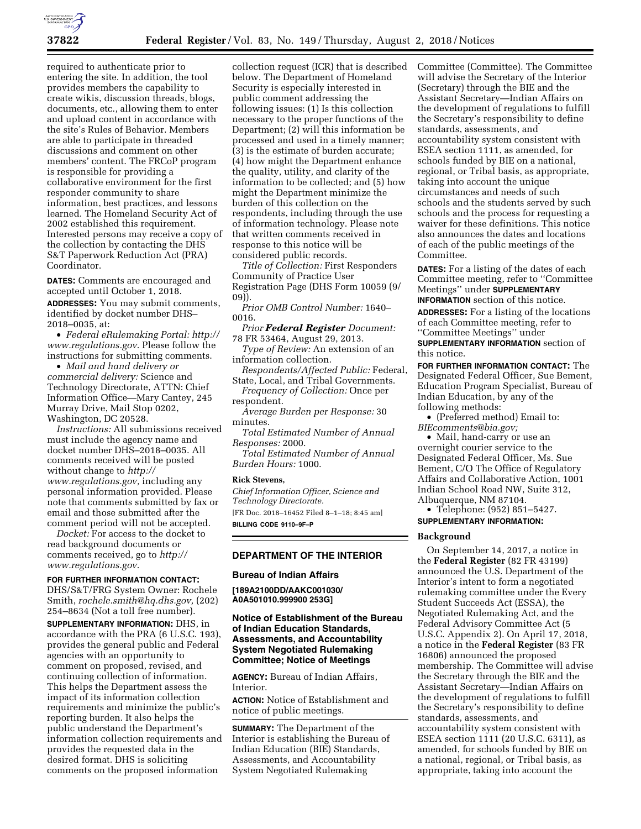

required to authenticate prior to entering the site. In addition, the tool provides members the capability to create wikis, discussion threads, blogs, documents, etc., allowing them to enter and upload content in accordance with the site's Rules of Behavior. Members are able to participate in threaded discussions and comment on other members' content. The FRCoP program is responsible for providing a collaborative environment for the first responder community to share information, best practices, and lessons learned. The Homeland Security Act of 2002 established this requirement. Interested persons may receive a copy of the collection by contacting the DHS S&T Paperwork Reduction Act (PRA) Coordinator.

**DATES:** Comments are encouraged and accepted until October 1, 2018.

**ADDRESSES:** You may submit comments, identified by docket number DHS– 2018–0035, at:

• *Federal eRulemaking Portal: [http://](http://www.regulations.gov)  [www.regulations.gov](http://www.regulations.gov)*. Please follow the instructions for submitting comments.

• *Mail and hand delivery or commercial delivery:* Science and Technology Directorate, ATTN: Chief Information Office—Mary Cantey, 245 Murray Drive, Mail Stop 0202, Washington, DC 20528.

*Instructions:* All submissions received must include the agency name and docket number DHS–2018–0035. All comments received will be posted without change to *[http://](http://www.regulations.gov) [www.regulations.gov,](http://www.regulations.gov)* including any personal information provided. Please note that comments submitted by fax or email and those submitted after the comment period will not be accepted.

*Docket:* For access to the docket to read background documents or comments received, go to *[http://](http://www.regulations.gov) [www.regulations.gov](http://www.regulations.gov)*.

# **FOR FURTHER INFORMATION CONTACT:**

DHS/S&T/FRG System Owner: Rochele Smith, *[rochele.smith@hq.dhs.gov,](mailto:rochele.smith@hq.dhs.gov)* (202) 254–8634 (Not a toll free number).

**SUPPLEMENTARY INFORMATION:** DHS, in accordance with the PRA (6 U.S.C. 193), provides the general public and Federal agencies with an opportunity to comment on proposed, revised, and continuing collection of information. This helps the Department assess the impact of its information collection requirements and minimize the public's reporting burden. It also helps the public understand the Department's information collection requirements and provides the requested data in the desired format. DHS is soliciting comments on the proposed information

collection request (ICR) that is described below. The Department of Homeland Security is especially interested in public comment addressing the following issues: (1) Is this collection necessary to the proper functions of the Department; (2) will this information be processed and used in a timely manner; (3) is the estimate of burden accurate; (4) how might the Department enhance the quality, utility, and clarity of the information to be collected; and (5) how might the Department minimize the burden of this collection on the respondents, including through the use of information technology. Please note that written comments received in response to this notice will be considered public records.

*Title of Collection:* First Responders Community of Practice User Registration Page (DHS Form 10059 (9/ 09)).

*Prior OMB Control Number:* 1640– 0016.

*Prior Federal Register Document:*  78 FR 53464, August 29, 2013.

*Type of Review:* An extension of an information collection.

*Respondents/Affected Public:* Federal, State, Local, and Tribal Governments.

*Frequency of Collection:* Once per respondent.

*Average Burden per Response:* 30 minutes.

*Total Estimated Number of Annual Responses:* 2000.

*Total Estimated Number of Annual Burden Hours:* 1000.

#### **Rick Stevens,**

*Chief Information Officer, Science and Technology Directorate.* 

[FR Doc. 2018–16452 Filed 8–1–18; 8:45 am]

**BILLING CODE 9110–9F–P** 

# **DEPARTMENT OF THE INTERIOR**

#### **Bureau of Indian Affairs**

**[189A2100DD/AAKC001030/ A0A501010.999900 253G]** 

# **Notice of Establishment of the Bureau of Indian Education Standards, Assessments, and Accountability System Negotiated Rulemaking Committee; Notice of Meetings**

**AGENCY:** Bureau of Indian Affairs, Interior.

**ACTION:** Notice of Establishment and notice of public meetings.

**SUMMARY:** The Department of the Interior is establishing the Bureau of Indian Education (BIE) Standards, Assessments, and Accountability System Negotiated Rulemaking

Committee (Committee). The Committee will advise the Secretary of the Interior (Secretary) through the BIE and the Assistant Secretary—Indian Affairs on the development of regulations to fulfill the Secretary's responsibility to define standards, assessments, and accountability system consistent with ESEA section 1111, as amended, for schools funded by BIE on a national, regional, or Tribal basis, as appropriate, taking into account the unique circumstances and needs of such schools and the students served by such schools and the process for requesting a waiver for these definitions. This notice also announces the dates and locations of each of the public meetings of the Committee.

**DATES:** For a listing of the dates of each Committee meeting, refer to ''Committee Meetings'' under **SUPPLEMENTARY INFORMATION** section of this notice.

**ADDRESSES:** For a listing of the locations of each Committee meeting, refer to ''Committee Meetings'' under

**SUPPLEMENTARY INFORMATION** section of this notice.

**FOR FURTHER INFORMATION CONTACT:** The Designated Federal Officer, Sue Bement, Education Program Specialist, Bureau of Indian Education, by any of the following methods:

• (Preferred method) Email to: *[BIEcomments@bia.gov;](mailto:BIEcomments@bia.gov)* 

• Mail, hand-carry or use an overnight courier service to the Designated Federal Officer, Ms. Sue Bement, C/O The Office of Regulatory Affairs and Collaborative Action, 1001 Indian School Road NW, Suite 312, Albuquerque, NM 87104.

• Telephone: (952) 851–5427. **SUPPLEMENTARY INFORMATION:** 

#### **Background**

On September 14, 2017, a notice in the **Federal Register** (82 FR 43199) announced the U.S. Department of the Interior's intent to form a negotiated rulemaking committee under the Every Student Succeeds Act (ESSA), the Negotiated Rulemaking Act, and the Federal Advisory Committee Act (5 U.S.C. Appendix 2). On April 17, 2018, a notice in the **Federal Register** (83 FR 16806) announced the proposed membership. The Committee will advise the Secretary through the BIE and the Assistant Secretary—Indian Affairs on the development of regulations to fulfill the Secretary's responsibility to define standards, assessments, and accountability system consistent with ESEA section 1111 (20 U.S.C. 6311), as amended, for schools funded by BIE on a national, regional, or Tribal basis, as appropriate, taking into account the